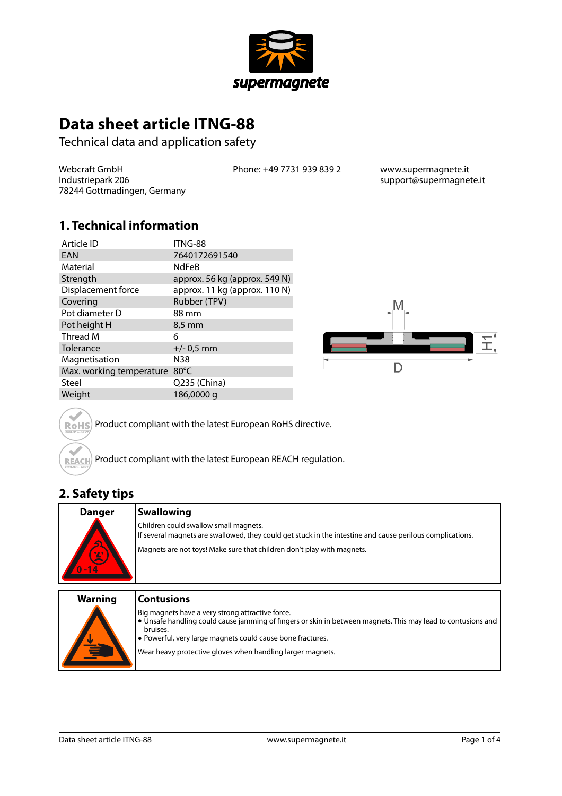

# **Data sheet article ITNG-88**

Technical data and application safety

Webcraft GmbH Industriepark 206 78244 Gottmadingen, Germany Phone: +49 7731 939 839 2 www.supermagnete.it

support@supermagnete.it

#### **1. Technical information**

| Article ID               | ITNG-88                       |
|--------------------------|-------------------------------|
| EAN                      | 7640172691540                 |
| Material                 | <b>NdFeB</b>                  |
| Strength                 | approx. 56 kg (approx. 549 N) |
| Displacement force       | approx. 11 kg (approx. 110 N) |
| Covering                 | Rubber (TPV)                  |
| Pot diameter D           | 88 mm                         |
| Pot height H             | 8,5 mm                        |
| Thread M                 | 6                             |
| Tolerance                | $+/- 0.5$ mm                  |
| Magnetisation            | N38                           |
| Max. working temperature | $80^{\circ}$ C                |
| Steel                    | Q235 (China)                  |
| Weight                   | 186,0000 g                    |



Product compliant with the latest European RoHS directive. **RoHS** 

Product compliant with the latest European REACH regulation. REACH

#### **2. Safety tips**

 $\sim$ 

| <b>Danger</b>  | <b>Swallowing</b>                                                                                                                                                                                                                          |
|----------------|--------------------------------------------------------------------------------------------------------------------------------------------------------------------------------------------------------------------------------------------|
|                | Children could swallow small magnets.<br>If several magnets are swallowed, they could get stuck in the intestine and cause perilous complications.                                                                                         |
| $-14$          | Magnets are not toys! Make sure that children don't play with magnets.                                                                                                                                                                     |
| <b>Warning</b> | <b>Contusions</b>                                                                                                                                                                                                                          |
|                | Big magnets have a very strong attractive force.<br>• Unsafe handling could cause jamming of fingers or skin in between magnets. This may lead to contusions and<br>bruises.<br>• Powerful, very large magnets could cause bone fractures. |

Wear heavy protective gloves when handling larger magnets.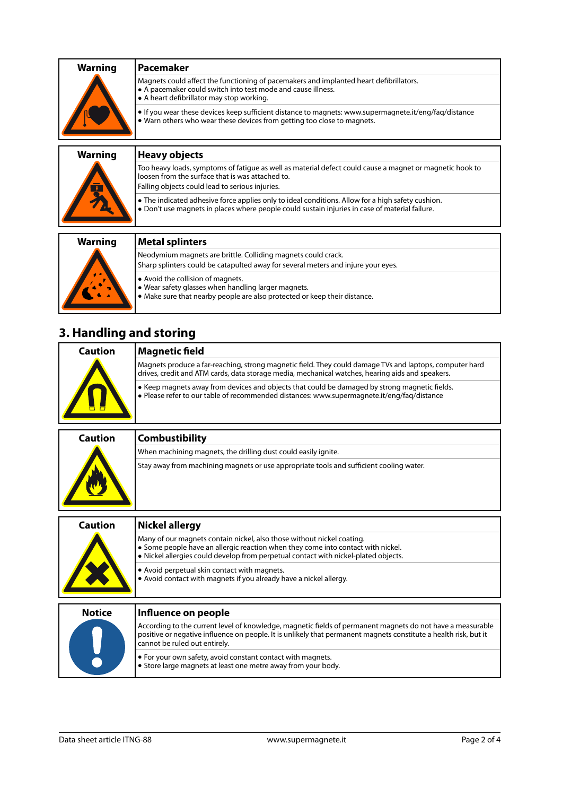| <b>Warning</b> | <b>Pacemaker</b>                                                                                                                                                                                  |
|----------------|---------------------------------------------------------------------------------------------------------------------------------------------------------------------------------------------------|
|                | Magnets could affect the functioning of pacemakers and implanted heart defibrillators.<br>A pacemaker could switch into test mode and cause illness.<br>• A heart defibrillator may stop working. |
|                | • If you wear these devices keep sufficient distance to magnets: www.supermagnete.it/eng/fag/distance<br>. Warn others who wear these devices from getting too close to magnets.                  |
|                |                                                                                                                                                                                                   |

| <b>Warning</b><br><u>長</u> | Heavy objects                                                                                                                                                                                                   |
|----------------------------|-----------------------------------------------------------------------------------------------------------------------------------------------------------------------------------------------------------------|
|                            | Too heavy loads, symptoms of fatigue as well as material defect could cause a magnet or magnetic hook to<br>loosen from the surface that is was attached to.<br>Falling objects could lead to serious injuries. |
|                            | • The indicated adhesive force applies only to ideal conditions. Allow for a high safety cushion.<br>. Don't use magnets in places where people could sustain injuries in case of material failure.             |
|                            |                                                                                                                                                                                                                 |
| <b>Warning</b>             | Metal splinters                                                                                                                                                                                                 |
|                            | Neodymium magnets are brittle. Colliding magnets could crack.<br>Sharp splinters could be catapulted away for several meters and injure your eyes.                                                              |

- **•** Avoid the collision of magnets.
	- **•** Wear safety glasses when handling larger magnets.
	- **•** Make sure that nearby people are also protected or keep their distance.

# **3. Handling and storing**

| Caution | Magnetic field                                                                                                                                                                                              |
|---------|-------------------------------------------------------------------------------------------------------------------------------------------------------------------------------------------------------------|
|         | Magnets produce a far-reaching, strong magnetic field. They could damage TVs and laptops, computer hard<br>drives, credit and ATM cards, data storage media, mechanical watches, hearing aids and speakers. |
|         | ↓ Keep magnets away from devices and objects that could be damaged by strong magnetic fields.<br>$\bullet$ Please refer to our table of recommended distances: www.supermagnete.it/eng/fag/distance         |

| Caution | <b>Combustibility</b>                                                                   |
|---------|-----------------------------------------------------------------------------------------|
|         | When machining magnets, the drilling dust could easily ignite.                          |
|         | Stay away from machining magnets or use appropriate tools and sufficient cooling water. |

| Caution       | Nickel allergy                                                                                                                                                                                                                                                  |
|---------------|-----------------------------------------------------------------------------------------------------------------------------------------------------------------------------------------------------------------------------------------------------------------|
|               | Many of our magnets contain nickel, also those without nickel coating.<br>• Some people have an allergic reaction when they come into contact with nickel.<br>. Nickel allergies could develop from perpetual contact with nickel-plated objects.               |
|               | • Avoid perpetual skin contact with magnets.<br>• Avoid contact with magnets if you already have a nickel allergy.                                                                                                                                              |
| <b>Notice</b> | Influence on people                                                                                                                                                                                                                                             |
|               | According to the current level of knowledge, magnetic fields of permanent magnets do not have a measurable<br>positive or negative influence on people. It is unlikely that permanent magnets constitute a health risk, but it<br>cannot be ruled out entirely. |

**•** For your own safety, avoid constant contact with magnets. **•** Store large magnets at least one metre away from your body.

 $\bullet$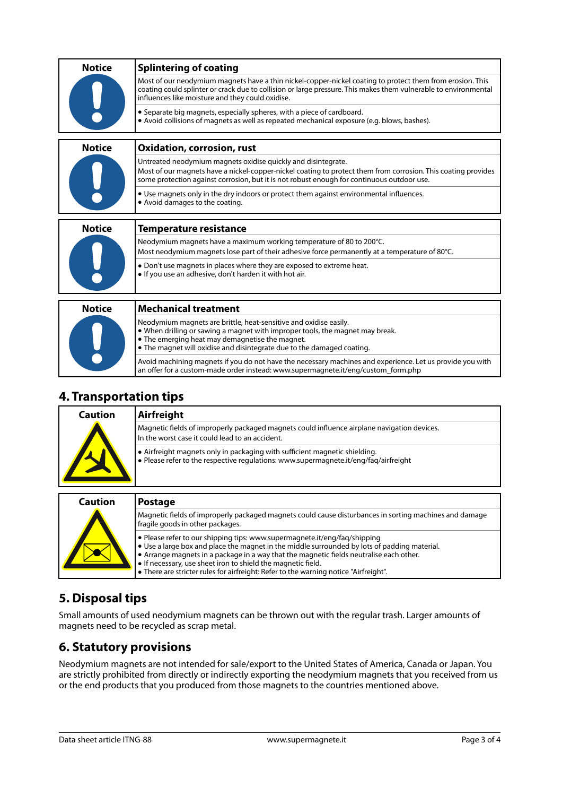| <b>Notice</b> | <b>Splintering of coating</b>                                                                                                                                                                                                                                                    |
|---------------|----------------------------------------------------------------------------------------------------------------------------------------------------------------------------------------------------------------------------------------------------------------------------------|
|               | Most of our neodymium magnets have a thin nickel-copper-nickel coating to protect them from erosion. This<br>coating could splinter or crack due to collision or large pressure. This makes them vulnerable to environmental<br>influences like moisture and they could oxidise. |
|               | • Separate big magnets, especially spheres, with a piece of cardboard.<br>• Avoid collisions of magnets as well as repeated mechanical exposure (e.g. blows, bashes).                                                                                                            |
| <b>Notice</b> | <b>Oxidation, corrosion, rust</b>                                                                                                                                                                                                                                                |
|               | Untreated neodymium magnets oxidise quickly and disintegrate.<br>Most of our magnets have a nickel-copper-nickel coating to protect them from corrosion. This coating provides<br>some protection against corrosion, but it is not robust enough for continuous outdoor use.     |
|               | • Use magnets only in the dry indoors or protect them against environmental influences.<br>• Avoid damages to the coating.                                                                                                                                                       |
| <b>Notice</b> | <b>Temperature resistance</b>                                                                                                                                                                                                                                                    |
|               | Neodymium magnets have a maximum working temperature of 80 to 200°C.                                                                                                                                                                                                             |
|               | Most neodymium magnets lose part of their adhesive force permanently at a temperature of 80°C.                                                                                                                                                                                   |
|               | • Don't use magnets in places where they are exposed to extreme heat.<br>. If you use an adhesive, don't harden it with hot air.                                                                                                                                                 |
|               |                                                                                                                                                                                                                                                                                  |
| <b>Notice</b> | <b>Mechanical treatment</b>                                                                                                                                                                                                                                                      |
|               | Neodymium magnets are brittle, heat-sensitive and oxidise easily.<br>• When drilling or sawing a magnet with improper tools, the magnet may break.<br>• The emerging heat may demagnetise the magnet.<br>• The magnet will oxidise and disintegrate due to the damaged coating.  |
|               | Avoid machining magnets if you do not have the necessary machines and experience. Let us provide you with                                                                                                                                                                        |

#### **4. Transportation tips**

| Caution | Airfreight                                                                                                                                                         |
|---------|--------------------------------------------------------------------------------------------------------------------------------------------------------------------|
|         | Magnetic fields of improperly packaged magnets could influence airplane navigation devices.<br>In the worst case it could lead to an accident.                     |
|         | • Airfreight magnets only in packaging with sufficient magnetic shielding.<br>• Please refer to the respective regulations: www.supermagnete.it/eng/fag/airfreight |

an offer for a custom-made order instead: [www.supermagnete.it/eng/custom\\_form.php](http://www.supermagnete.it/eng/custom_form.php)

| <b>Caution</b> | <b>Postage</b>                                                                                                                                                                                                                                                                                                                                                                                                                       |
|----------------|--------------------------------------------------------------------------------------------------------------------------------------------------------------------------------------------------------------------------------------------------------------------------------------------------------------------------------------------------------------------------------------------------------------------------------------|
|                | Magnetic fields of improperly packaged magnets could cause disturbances in sorting machines and damage<br>fragile goods in other packages.                                                                                                                                                                                                                                                                                           |
|                | • Please refer to our shipping tips: www.supermagnete.it/eng/fag/shipping<br>$\bullet$ Use a large box and place the magnet in the middle surrounded by lots of padding material.<br>• Arrange magnets in a package in a way that the magnetic fields neutralise each other.<br>• If necessary, use sheet iron to shield the magnetic field.<br>• There are stricter rules for airfreight: Refer to the warning notice "Airfreight". |

# **5. Disposal tips**

Small amounts of used neodymium magnets can be thrown out with the regular trash. Larger amounts of magnets need to be recycled as scrap metal.

### **6. Statutory provisions**

Neodymium magnets are not intended for sale/export to the United States of America, Canada or Japan. You are strictly prohibited from directly or indirectly exporting the neodymium magnets that you received from us or the end products that you produced from those magnets to the countries mentioned above.